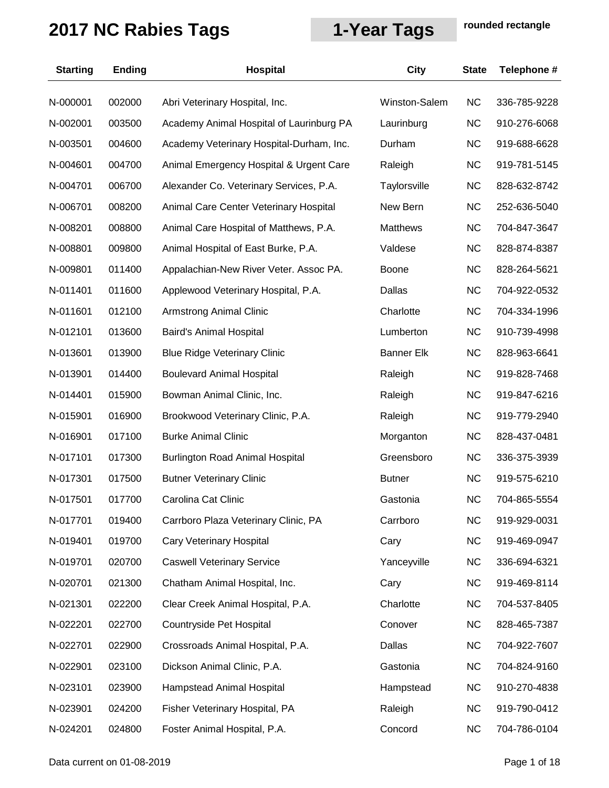| <b>Starting</b> | <b>Ending</b> | <b>Hospital</b>                          | <b>City</b>       | <b>State</b> | Telephone #  |
|-----------------|---------------|------------------------------------------|-------------------|--------------|--------------|
| N-000001        | 002000        | Abri Veterinary Hospital, Inc.           | Winston-Salem     | <b>NC</b>    | 336-785-9228 |
| N-002001        | 003500        | Academy Animal Hospital of Laurinburg PA | Laurinburg        | <b>NC</b>    | 910-276-6068 |
| N-003501        | 004600        | Academy Veterinary Hospital-Durham, Inc. | Durham            | <b>NC</b>    | 919-688-6628 |
| N-004601        | 004700        | Animal Emergency Hospital & Urgent Care  | Raleigh           | <b>NC</b>    | 919-781-5145 |
| N-004701        | 006700        | Alexander Co. Veterinary Services, P.A.  | Taylorsville      | <b>NC</b>    | 828-632-8742 |
| N-006701        | 008200        | Animal Care Center Veterinary Hospital   | New Bern          | <b>NC</b>    | 252-636-5040 |
| N-008201        | 008800        | Animal Care Hospital of Matthews, P.A.   | <b>Matthews</b>   | <b>NC</b>    | 704-847-3647 |
| N-008801        | 009800        | Animal Hospital of East Burke, P.A.      | Valdese           | <b>NC</b>    | 828-874-8387 |
| N-009801        | 011400        | Appalachian-New River Veter. Assoc PA.   | <b>Boone</b>      | <b>NC</b>    | 828-264-5621 |
| N-011401        | 011600        | Applewood Veterinary Hospital, P.A.      | Dallas            | <b>NC</b>    | 704-922-0532 |
| N-011601        | 012100        | <b>Armstrong Animal Clinic</b>           | Charlotte         | <b>NC</b>    | 704-334-1996 |
| N-012101        | 013600        | Baird's Animal Hospital                  | Lumberton         | <b>NC</b>    | 910-739-4998 |
| N-013601        | 013900        | <b>Blue Ridge Veterinary Clinic</b>      | <b>Banner Elk</b> | <b>NC</b>    | 828-963-6641 |
| N-013901        | 014400        | <b>Boulevard Animal Hospital</b>         | Raleigh           | <b>NC</b>    | 919-828-7468 |
| N-014401        | 015900        | Bowman Animal Clinic, Inc.               | Raleigh           | <b>NC</b>    | 919-847-6216 |
| N-015901        | 016900        | Brookwood Veterinary Clinic, P.A.        | Raleigh           | <b>NC</b>    | 919-779-2940 |
| N-016901        | 017100        | <b>Burke Animal Clinic</b>               | Morganton         | <b>NC</b>    | 828-437-0481 |
| N-017101        | 017300        | <b>Burlington Road Animal Hospital</b>   | Greensboro        | <b>NC</b>    | 336-375-3939 |
| N-017301        | 017500        | <b>Butner Veterinary Clinic</b>          | <b>Butner</b>     | <b>NC</b>    | 919-575-6210 |
| N-017501        | 017700        | Carolina Cat Clinic                      | Gastonia          | <b>NC</b>    | 704-865-5554 |
| N-017701        | 019400        | Carrboro Plaza Veterinary Clinic, PA     | Carrboro          | <b>NC</b>    | 919-929-0031 |
| N-019401        | 019700        | Cary Veterinary Hospital                 | Cary              | <b>NC</b>    | 919-469-0947 |
| N-019701        | 020700        | <b>Caswell Veterinary Service</b>        | Yanceyville       | <b>NC</b>    | 336-694-6321 |
| N-020701        | 021300        | Chatham Animal Hospital, Inc.            | Cary              | <b>NC</b>    | 919-469-8114 |
| N-021301        | 022200        | Clear Creek Animal Hospital, P.A.        | Charlotte         | <b>NC</b>    | 704-537-8405 |
| N-022201        | 022700        | Countryside Pet Hospital                 | Conover           | <b>NC</b>    | 828-465-7387 |
| N-022701        | 022900        | Crossroads Animal Hospital, P.A.         | Dallas            | <b>NC</b>    | 704-922-7607 |
| N-022901        | 023100        | Dickson Animal Clinic, P.A.              | Gastonia          | <b>NC</b>    | 704-824-9160 |
| N-023101        | 023900        | Hampstead Animal Hospital                | Hampstead         | <b>NC</b>    | 910-270-4838 |
| N-023901        | 024200        | Fisher Veterinary Hospital, PA           | Raleigh           | <b>NC</b>    | 919-790-0412 |
| N-024201        | 024800        | Foster Animal Hospital, P.A.             | Concord           | <b>NC</b>    | 704-786-0104 |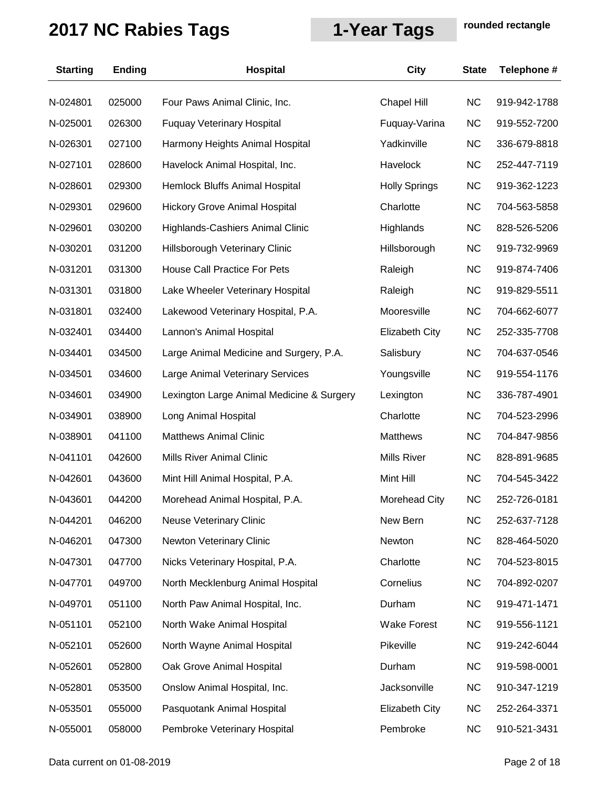| <b>Starting</b> | <b>Ending</b> | <b>Hospital</b>                           | <b>City</b>           | <b>State</b> | Telephone #  |
|-----------------|---------------|-------------------------------------------|-----------------------|--------------|--------------|
| N-024801        | 025000        | Four Paws Animal Clinic, Inc.             | Chapel Hill           | <b>NC</b>    | 919-942-1788 |
| N-025001        | 026300        | <b>Fuquay Veterinary Hospital</b>         | Fuquay-Varina         | <b>NC</b>    | 919-552-7200 |
| N-026301        | 027100        | Harmony Heights Animal Hospital           | Yadkinville           | <b>NC</b>    | 336-679-8818 |
| N-027101        | 028600        | Havelock Animal Hospital, Inc.            | Havelock              | <b>NC</b>    | 252-447-7119 |
| N-028601        | 029300        | Hemlock Bluffs Animal Hospital            | <b>Holly Springs</b>  | <b>NC</b>    | 919-362-1223 |
| N-029301        | 029600        | <b>Hickory Grove Animal Hospital</b>      | Charlotte             | NC           | 704-563-5858 |
| N-029601        | 030200        | Highlands-Cashiers Animal Clinic          | Highlands             | <b>NC</b>    | 828-526-5206 |
| N-030201        | 031200        | Hillsborough Veterinary Clinic            | Hillsborough          | <b>NC</b>    | 919-732-9969 |
| N-031201        | 031300        | House Call Practice For Pets              | Raleigh               | <b>NC</b>    | 919-874-7406 |
| N-031301        | 031800        | Lake Wheeler Veterinary Hospital          | Raleigh               | <b>NC</b>    | 919-829-5511 |
| N-031801        | 032400        | Lakewood Veterinary Hospital, P.A.        | Mooresville           | <b>NC</b>    | 704-662-6077 |
| N-032401        | 034400        | Lannon's Animal Hospital                  | <b>Elizabeth City</b> | <b>NC</b>    | 252-335-7708 |
| N-034401        | 034500        | Large Animal Medicine and Surgery, P.A.   | Salisbury             | <b>NC</b>    | 704-637-0546 |
| N-034501        | 034600        | Large Animal Veterinary Services          | Youngsville           | <b>NC</b>    | 919-554-1176 |
| N-034601        | 034900        | Lexington Large Animal Medicine & Surgery | Lexington             | <b>NC</b>    | 336-787-4901 |
| N-034901        | 038900        | Long Animal Hospital                      | Charlotte             | <b>NC</b>    | 704-523-2996 |
| N-038901        | 041100        | <b>Matthews Animal Clinic</b>             | <b>Matthews</b>       | <b>NC</b>    | 704-847-9856 |
| N-041101        | 042600        | Mills River Animal Clinic                 | Mills River           | <b>NC</b>    | 828-891-9685 |
| N-042601        | 043600        | Mint Hill Animal Hospital, P.A.           | Mint Hill             | <b>NC</b>    | 704-545-3422 |
| N-043601        | 044200        | Morehead Animal Hospital, P.A.            | <b>Morehead City</b>  | <b>NC</b>    | 252-726-0181 |
| N-044201        | 046200        | <b>Neuse Veterinary Clinic</b>            | New Bern              | <b>NC</b>    | 252-637-7128 |
| N-046201        | 047300        | Newton Veterinary Clinic                  | Newton                | <b>NC</b>    | 828-464-5020 |
| N-047301        | 047700        | Nicks Veterinary Hospital, P.A.           | Charlotte             | <b>NC</b>    | 704-523-8015 |
| N-047701        | 049700        | North Mecklenburg Animal Hospital         | Cornelius             | <b>NC</b>    | 704-892-0207 |
| N-049701        | 051100        | North Paw Animal Hospital, Inc.           | Durham                | <b>NC</b>    | 919-471-1471 |
| N-051101        | 052100        | North Wake Animal Hospital                | <b>Wake Forest</b>    | <b>NC</b>    | 919-556-1121 |
| N-052101        | 052600        | North Wayne Animal Hospital               | Pikeville             | <b>NC</b>    | 919-242-6044 |
| N-052601        | 052800        | Oak Grove Animal Hospital                 | Durham                | <b>NC</b>    | 919-598-0001 |
| N-052801        | 053500        | Onslow Animal Hospital, Inc.              | Jacksonville          | <b>NC</b>    | 910-347-1219 |
| N-053501        | 055000        | Pasquotank Animal Hospital                | <b>Elizabeth City</b> | <b>NC</b>    | 252-264-3371 |
| N-055001        | 058000        | Pembroke Veterinary Hospital              | Pembroke              | <b>NC</b>    | 910-521-3431 |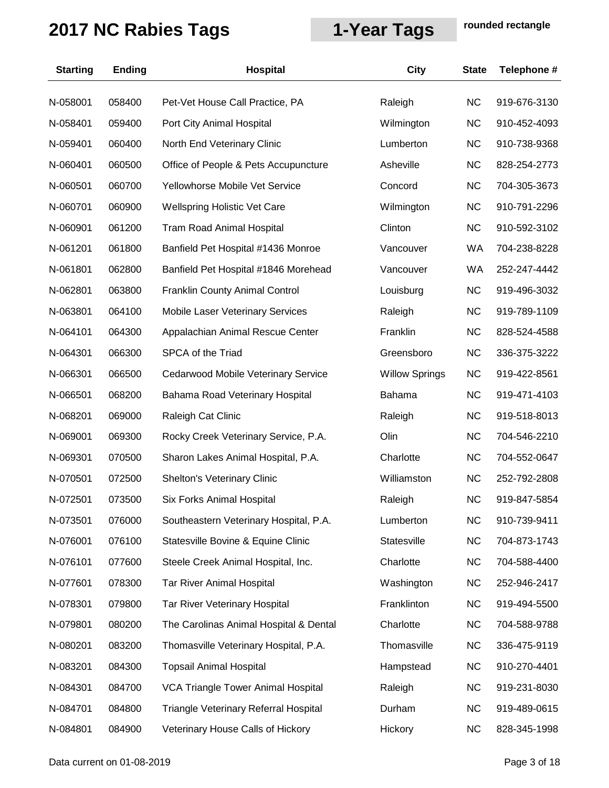| <b>Starting</b> | <b>Ending</b> | <b>Hospital</b>                        | City                  | <b>State</b> | Telephone #  |
|-----------------|---------------|----------------------------------------|-----------------------|--------------|--------------|
| N-058001        | 058400        | Pet-Vet House Call Practice, PA        | Raleigh               | <b>NC</b>    | 919-676-3130 |
| N-058401        | 059400        | Port City Animal Hospital              | Wilmington            | <b>NC</b>    | 910-452-4093 |
| N-059401        | 060400        | North End Veterinary Clinic            | Lumberton             | <b>NC</b>    | 910-738-9368 |
| N-060401        | 060500        | Office of People & Pets Accupuncture   | Asheville             | <b>NC</b>    | 828-254-2773 |
| N-060501        | 060700        | Yellowhorse Mobile Vet Service         | Concord               | <b>NC</b>    | 704-305-3673 |
| N-060701        | 060900        | Wellspring Holistic Vet Care           | Wilmington            | NC           | 910-791-2296 |
| N-060901        | 061200        | <b>Tram Road Animal Hospital</b>       | Clinton               | <b>NC</b>    | 910-592-3102 |
| N-061201        | 061800        | Banfield Pet Hospital #1436 Monroe     | Vancouver             | WA           | 704-238-8228 |
| N-061801        | 062800        | Banfield Pet Hospital #1846 Morehead   | Vancouver             | <b>WA</b>    | 252-247-4442 |
| N-062801        | 063800        | Franklin County Animal Control         | Louisburg             | <b>NC</b>    | 919-496-3032 |
| N-063801        | 064100        | Mobile Laser Veterinary Services       | Raleigh               | <b>NC</b>    | 919-789-1109 |
| N-064101        | 064300        | Appalachian Animal Rescue Center       | Franklin              | <b>NC</b>    | 828-524-4588 |
| N-064301        | 066300        | SPCA of the Triad                      | Greensboro            | <b>NC</b>    | 336-375-3222 |
| N-066301        | 066500        | Cedarwood Mobile Veterinary Service    | <b>Willow Springs</b> | <b>NC</b>    | 919-422-8561 |
| N-066501        | 068200        | Bahama Road Veterinary Hospital        | Bahama                | <b>NC</b>    | 919-471-4103 |
| N-068201        | 069000        | Raleigh Cat Clinic                     | Raleigh               | <b>NC</b>    | 919-518-8013 |
| N-069001        | 069300        | Rocky Creek Veterinary Service, P.A.   | Olin                  | <b>NC</b>    | 704-546-2210 |
| N-069301        | 070500        | Sharon Lakes Animal Hospital, P.A.     | Charlotte             | <b>NC</b>    | 704-552-0647 |
| N-070501        | 072500        | Shelton's Veterinary Clinic            | Williamston           | <b>NC</b>    | 252-792-2808 |
| N-072501        | 073500        | <b>Six Forks Animal Hospital</b>       | Raleigh               | <b>NC</b>    | 919-847-5854 |
| N-073501        | 076000        | Southeastern Veterinary Hospital, P.A. | Lumberton             | <b>NC</b>    | 910-739-9411 |
| N-076001        | 076100        | Statesville Bovine & Equine Clinic     | Statesville           | <b>NC</b>    | 704-873-1743 |
| N-076101        | 077600        | Steele Creek Animal Hospital, Inc.     | Charlotte             | <b>NC</b>    | 704-588-4400 |
| N-077601        | 078300        | <b>Tar River Animal Hospital</b>       | Washington            | <b>NC</b>    | 252-946-2417 |
| N-078301        | 079800        | <b>Tar River Veterinary Hospital</b>   | Franklinton           | <b>NC</b>    | 919-494-5500 |
| N-079801        | 080200        | The Carolinas Animal Hospital & Dental | Charlotte             | <b>NC</b>    | 704-588-9788 |
| N-080201        | 083200        | Thomasville Veterinary Hospital, P.A.  | Thomasville           | <b>NC</b>    | 336-475-9119 |
| N-083201        | 084300        | <b>Topsail Animal Hospital</b>         | Hampstead             | <b>NC</b>    | 910-270-4401 |
| N-084301        | 084700        | VCA Triangle Tower Animal Hospital     | Raleigh               | <b>NC</b>    | 919-231-8030 |
| N-084701        | 084800        | Triangle Veterinary Referral Hospital  | Durham                | <b>NC</b>    | 919-489-0615 |
| N-084801        | 084900        | Veterinary House Calls of Hickory      | Hickory               | <b>NC</b>    | 828-345-1998 |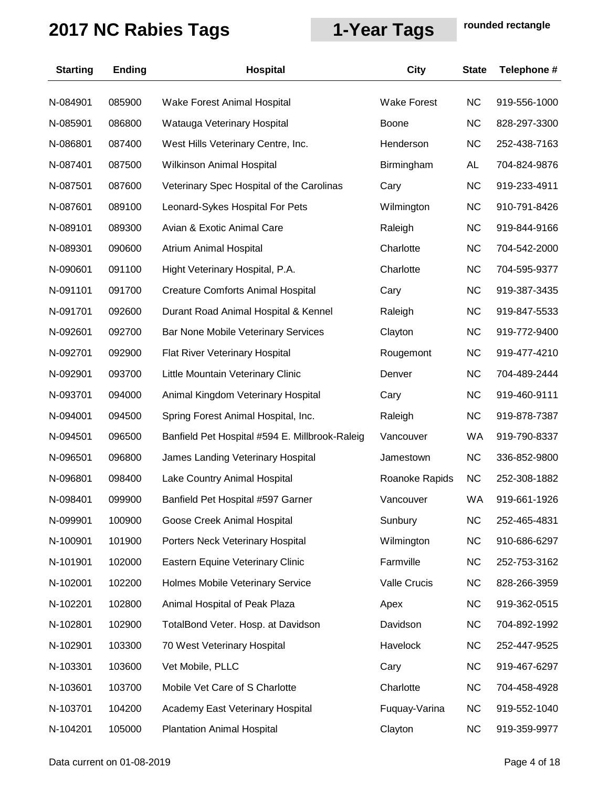| <b>Starting</b> | <b>Ending</b> | <b>Hospital</b>                                | City                | <b>State</b> | Telephone #  |
|-----------------|---------------|------------------------------------------------|---------------------|--------------|--------------|
| N-084901        | 085900        | Wake Forest Animal Hospital                    | <b>Wake Forest</b>  | <b>NC</b>    | 919-556-1000 |
| N-085901        | 086800        | Watauga Veterinary Hospital                    | <b>Boone</b>        | <b>NC</b>    | 828-297-3300 |
| N-086801        | 087400        | West Hills Veterinary Centre, Inc.             | Henderson           | <b>NC</b>    | 252-438-7163 |
| N-087401        | 087500        | Wilkinson Animal Hospital                      | Birmingham          | AL           | 704-824-9876 |
| N-087501        | 087600        | Veterinary Spec Hospital of the Carolinas      | Cary                | NC.          | 919-233-4911 |
| N-087601        | 089100        | Leonard-Sykes Hospital For Pets                | Wilmington          | NC.          | 910-791-8426 |
| N-089101        | 089300        | Avian & Exotic Animal Care                     | Raleigh             | <b>NC</b>    | 919-844-9166 |
| N-089301        | 090600        | Atrium Animal Hospital                         | Charlotte           | NC.          | 704-542-2000 |
| N-090601        | 091100        | Hight Veterinary Hospital, P.A.                | Charlotte           | <b>NC</b>    | 704-595-9377 |
| N-091101        | 091700        | <b>Creature Comforts Animal Hospital</b>       | Cary                | <b>NC</b>    | 919-387-3435 |
| N-091701        | 092600        | Durant Road Animal Hospital & Kennel           | Raleigh             | <b>NC</b>    | 919-847-5533 |
| N-092601        | 092700        | Bar None Mobile Veterinary Services            | Clayton             | NC.          | 919-772-9400 |
| N-092701        | 092900        | Flat River Veterinary Hospital                 | Rougemont           | <b>NC</b>    | 919-477-4210 |
| N-092901        | 093700        | Little Mountain Veterinary Clinic              | Denver              | <b>NC</b>    | 704-489-2444 |
| N-093701        | 094000        | Animal Kingdom Veterinary Hospital             | Cary                | <b>NC</b>    | 919-460-9111 |
| N-094001        | 094500        | Spring Forest Animal Hospital, Inc.            | Raleigh             | NC.          | 919-878-7387 |
| N-094501        | 096500        | Banfield Pet Hospital #594 E. Millbrook-Raleig | Vancouver           | <b>WA</b>    | 919-790-8337 |
| N-096501        | 096800        | James Landing Veterinary Hospital              | Jamestown           | <b>NC</b>    | 336-852-9800 |
| N-096801        | 098400        | Lake Country Animal Hospital                   | Roanoke Rapids      | <b>NC</b>    | 252-308-1882 |
| N-098401        | 099900        | Banfield Pet Hospital #597 Garner              | Vancouver           | <b>WA</b>    | 919-661-1926 |
| N-099901        | 100900        | Goose Creek Animal Hospital                    | Sunbury             | <b>NC</b>    | 252-465-4831 |
| N-100901        | 101900        | Porters Neck Veterinary Hospital               | Wilmington          | NC.          | 910-686-6297 |
| N-101901        | 102000        | Eastern Equine Veterinary Clinic               | Farmville           | <b>NC</b>    | 252-753-3162 |
| N-102001        | 102200        | Holmes Mobile Veterinary Service               | <b>Valle Crucis</b> | <b>NC</b>    | 828-266-3959 |
| N-102201        | 102800        | Animal Hospital of Peak Plaza                  | Apex                | <b>NC</b>    | 919-362-0515 |
| N-102801        | 102900        | TotalBond Veter. Hosp. at Davidson             | Davidson            | NC.          | 704-892-1992 |
| N-102901        | 103300        | 70 West Veterinary Hospital                    | Havelock            | NC.          | 252-447-9525 |
| N-103301        | 103600        | Vet Mobile, PLLC                               | Cary                | <b>NC</b>    | 919-467-6297 |
| N-103601        | 103700        | Mobile Vet Care of S Charlotte                 | Charlotte           | <b>NC</b>    | 704-458-4928 |
| N-103701        | 104200        | Academy East Veterinary Hospital               | Fuquay-Varina       | <b>NC</b>    | 919-552-1040 |
| N-104201        | 105000        | <b>Plantation Animal Hospital</b>              | Clayton             | <b>NC</b>    | 919-359-9977 |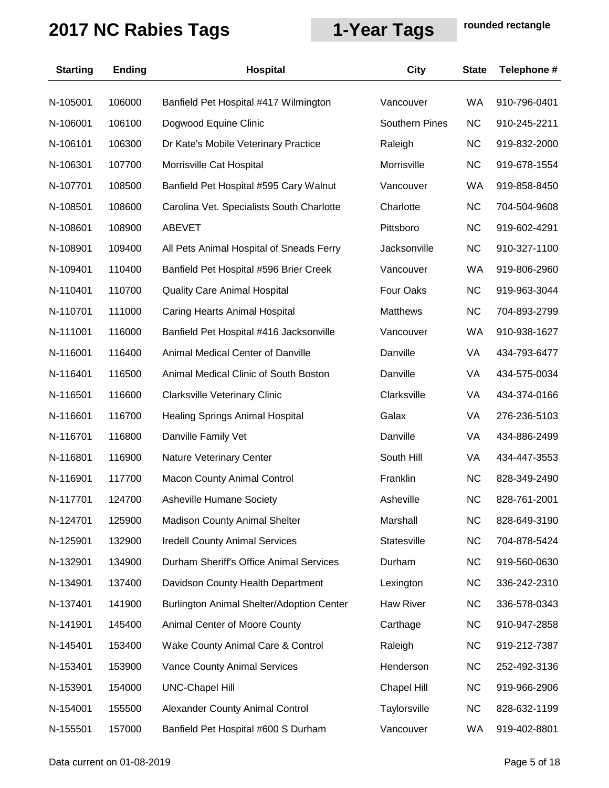| <b>Starting</b> | <b>Ending</b> | <b>Hospital</b>                           | <b>City</b>           | <b>State</b> | Telephone #  |
|-----------------|---------------|-------------------------------------------|-----------------------|--------------|--------------|
| N-105001        | 106000        | Banfield Pet Hospital #417 Wilmington     | Vancouver             | WA           | 910-796-0401 |
| N-106001        | 106100        | Dogwood Equine Clinic                     | <b>Southern Pines</b> | <b>NC</b>    | 910-245-2211 |
| N-106101        | 106300        | Dr Kate's Mobile Veterinary Practice      | Raleigh               | <b>NC</b>    | 919-832-2000 |
| N-106301        | 107700        | Morrisville Cat Hospital                  | Morrisville           | <b>NC</b>    | 919-678-1554 |
| N-107701        | 108500        | Banfield Pet Hospital #595 Cary Walnut    | Vancouver             | WA           | 919-858-8450 |
| N-108501        | 108600        | Carolina Vet. Specialists South Charlotte | Charlotte             | <b>NC</b>    | 704-504-9608 |
| N-108601        | 108900        | <b>ABEVET</b>                             | Pittsboro             | <b>NC</b>    | 919-602-4291 |
| N-108901        | 109400        | All Pets Animal Hospital of Sneads Ferry  | Jacksonville          | <b>NC</b>    | 910-327-1100 |
| N-109401        | 110400        | Banfield Pet Hospital #596 Brier Creek    | Vancouver             | WA           | 919-806-2960 |
| N-110401        | 110700        | <b>Quality Care Animal Hospital</b>       | Four Oaks             | <b>NC</b>    | 919-963-3044 |
| N-110701        | 111000        | Caring Hearts Animal Hospital             | <b>Matthews</b>       | <b>NC</b>    | 704-893-2799 |
| N-111001        | 116000        | Banfield Pet Hospital #416 Jacksonville   | Vancouver             | <b>WA</b>    | 910-938-1627 |
| N-116001        | 116400        | Animal Medical Center of Danville         | Danville              | VA           | 434-793-6477 |
| N-116401        | 116500        | Animal Medical Clinic of South Boston     | Danville              | VA           | 434-575-0034 |
| N-116501        | 116600        | <b>Clarksville Veterinary Clinic</b>      | Clarksville           | VA           | 434-374-0166 |
| N-116601        | 116700        | <b>Healing Springs Animal Hospital</b>    | Galax                 | VA           | 276-236-5103 |
| N-116701        | 116800        | Danville Family Vet                       | Danville              | VA           | 434-886-2499 |
| N-116801        | 116900        | Nature Veterinary Center                  | South Hill            | VA           | 434-447-3553 |
| N-116901        | 117700        | <b>Macon County Animal Control</b>        | Franklin              | <b>NC</b>    | 828-349-2490 |
| N-117701        | 124700        | <b>Asheville Humane Society</b>           | Asheville             | <b>NC</b>    | 828-761-2001 |
| N-124701        | 125900        | Madison County Animal Shelter             | Marshall              | <b>NC</b>    | 828-649-3190 |
| N-125901        | 132900        | <b>Iredell County Animal Services</b>     | Statesville           | <b>NC</b>    | 704-878-5424 |
| N-132901        | 134900        | Durham Sheriff's Office Animal Services   | Durham                | <b>NC</b>    | 919-560-0630 |
| N-134901        | 137400        | Davidson County Health Department         | Lexington             | <b>NC</b>    | 336-242-2310 |
| N-137401        | 141900        | Burlington Animal Shelter/Adoption Center | <b>Haw River</b>      | <b>NC</b>    | 336-578-0343 |
| N-141901        | 145400        | Animal Center of Moore County             | Carthage              | <b>NC</b>    | 910-947-2858 |
| N-145401        | 153400        | Wake County Animal Care & Control         | Raleigh               | <b>NC</b>    | 919-212-7387 |
| N-153401        | 153900        | Vance County Animal Services              | Henderson             | <b>NC</b>    | 252-492-3136 |
| N-153901        | 154000        | <b>UNC-Chapel Hill</b>                    | Chapel Hill           | <b>NC</b>    | 919-966-2906 |
| N-154001        | 155500        | Alexander County Animal Control           | Taylorsville          | <b>NC</b>    | 828-632-1199 |
| N-155501        | 157000        | Banfield Pet Hospital #600 S Durham       | Vancouver             | WA           | 919-402-8801 |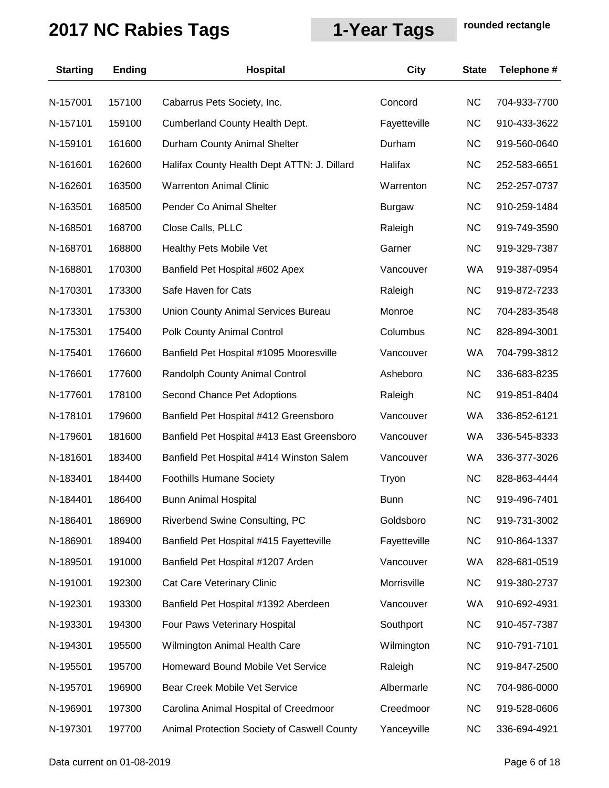| <b>Starting</b> | <b>Ending</b> | Hospital                                    | City          | <b>State</b> | Telephone #  |
|-----------------|---------------|---------------------------------------------|---------------|--------------|--------------|
| N-157001        | 157100        | Cabarrus Pets Society, Inc.                 | Concord       | <b>NC</b>    | 704-933-7700 |
| N-157101        | 159100        | <b>Cumberland County Health Dept.</b>       | Fayetteville  | <b>NC</b>    | 910-433-3622 |
| N-159101        | 161600        | Durham County Animal Shelter                | Durham        | <b>NC</b>    | 919-560-0640 |
| N-161601        | 162600        | Halifax County Health Dept ATTN: J. Dillard | Halifax       | <b>NC</b>    | 252-583-6651 |
| N-162601        | 163500        | <b>Warrenton Animal Clinic</b>              | Warrenton     | <b>NC</b>    | 252-257-0737 |
| N-163501        | 168500        | Pender Co Animal Shelter                    | <b>Burgaw</b> | <b>NC</b>    | 910-259-1484 |
| N-168501        | 168700        | Close Calls, PLLC                           | Raleigh       | <b>NC</b>    | 919-749-3590 |
| N-168701        | 168800        | Healthy Pets Mobile Vet                     | Garner        | <b>NC</b>    | 919-329-7387 |
| N-168801        | 170300        | Banfield Pet Hospital #602 Apex             | Vancouver     | WA           | 919-387-0954 |
| N-170301        | 173300        | Safe Haven for Cats                         | Raleigh       | <b>NC</b>    | 919-872-7233 |
| N-173301        | 175300        | <b>Union County Animal Services Bureau</b>  | Monroe        | <b>NC</b>    | 704-283-3548 |
| N-175301        | 175400        | Polk County Animal Control                  | Columbus      | <b>NC</b>    | 828-894-3001 |
| N-175401        | 176600        | Banfield Pet Hospital #1095 Mooresville     | Vancouver     | WA           | 704-799-3812 |
| N-176601        | 177600        | Randolph County Animal Control              | Asheboro      | <b>NC</b>    | 336-683-8235 |
| N-177601        | 178100        | Second Chance Pet Adoptions                 | Raleigh       | <b>NC</b>    | 919-851-8404 |
| N-178101        | 179600        | Banfield Pet Hospital #412 Greensboro       | Vancouver     | WA           | 336-852-6121 |
| N-179601        | 181600        | Banfield Pet Hospital #413 East Greensboro  | Vancouver     | WA           | 336-545-8333 |
| N-181601        | 183400        | Banfield Pet Hospital #414 Winston Salem    | Vancouver     | WA           | 336-377-3026 |
| N-183401        | 184400        | <b>Foothills Humane Society</b>             | Tryon         | <b>NC</b>    | 828-863-4444 |
| N-184401        | 186400        | <b>Bunn Animal Hospital</b>                 | <b>Bunn</b>   | <b>NC</b>    | 919-496-7401 |
| N-186401        | 186900        | Riverbend Swine Consulting, PC              | Goldsboro     | <b>NC</b>    | 919-731-3002 |
| N-186901        | 189400        | Banfield Pet Hospital #415 Fayetteville     | Fayetteville  | <b>NC</b>    | 910-864-1337 |
| N-189501        | 191000        | Banfield Pet Hospital #1207 Arden           | Vancouver     | WA           | 828-681-0519 |
| N-191001        | 192300        | Cat Care Veterinary Clinic                  | Morrisville   | <b>NC</b>    | 919-380-2737 |
| N-192301        | 193300        | Banfield Pet Hospital #1392 Aberdeen        | Vancouver     | WA           | 910-692-4931 |
| N-193301        | 194300        | Four Paws Veterinary Hospital               | Southport     | <b>NC</b>    | 910-457-7387 |
| N-194301        | 195500        | Wilmington Animal Health Care               | Wilmington    | <b>NC</b>    | 910-791-7101 |
| N-195501        | 195700        | Homeward Bound Mobile Vet Service           | Raleigh       | <b>NC</b>    | 919-847-2500 |
| N-195701        | 196900        | Bear Creek Mobile Vet Service               | Albermarle    | <b>NC</b>    | 704-986-0000 |
| N-196901        | 197300        | Carolina Animal Hospital of Creedmoor       | Creedmoor     | <b>NC</b>    | 919-528-0606 |
| N-197301        | 197700        | Animal Protection Society of Caswell County | Yanceyville   | <b>NC</b>    | 336-694-4921 |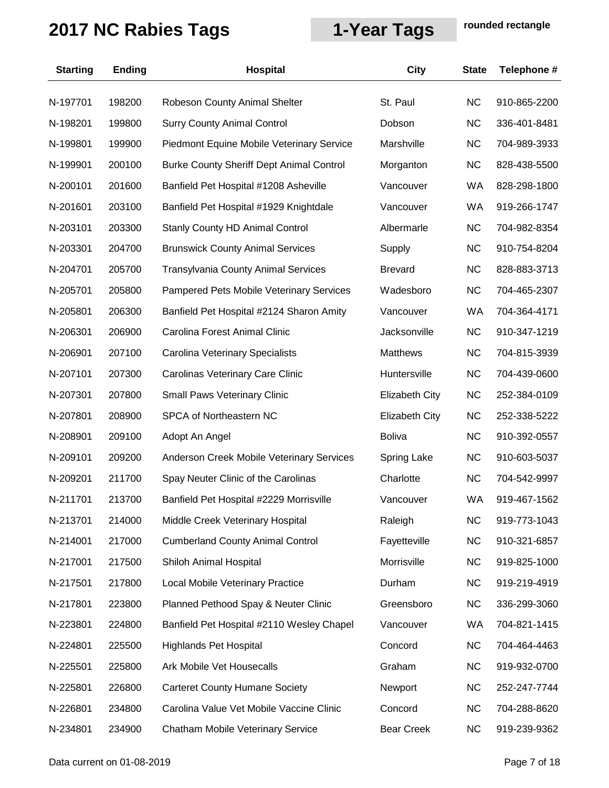| <b>Starting</b> | <b>Ending</b> | <b>Hospital</b>                                 | City                  | <b>State</b> | Telephone #  |
|-----------------|---------------|-------------------------------------------------|-----------------------|--------------|--------------|
| N-197701        | 198200        | Robeson County Animal Shelter                   | St. Paul              | <b>NC</b>    | 910-865-2200 |
| N-198201        | 199800        | <b>Surry County Animal Control</b>              | Dobson                | <b>NC</b>    | 336-401-8481 |
| N-199801        | 199900        | Piedmont Equine Mobile Veterinary Service       | Marshville            | <b>NC</b>    | 704-989-3933 |
| N-199901        | 200100        | <b>Burke County Sheriff Dept Animal Control</b> | Morganton             | <b>NC</b>    | 828-438-5500 |
| N-200101        | 201600        | Banfield Pet Hospital #1208 Asheville           | Vancouver             | <b>WA</b>    | 828-298-1800 |
| N-201601        | 203100        | Banfield Pet Hospital #1929 Knightdale          | Vancouver             | <b>WA</b>    | 919-266-1747 |
| N-203101        | 203300        | <b>Stanly County HD Animal Control</b>          | Albermarle            | <b>NC</b>    | 704-982-8354 |
| N-203301        | 204700        | <b>Brunswick County Animal Services</b>         | Supply                | <b>NC</b>    | 910-754-8204 |
| N-204701        | 205700        | <b>Transylvania County Animal Services</b>      | <b>Brevard</b>        | <b>NC</b>    | 828-883-3713 |
| N-205701        | 205800        | Pampered Pets Mobile Veterinary Services        | Wadesboro             | <b>NC</b>    | 704-465-2307 |
| N-205801        | 206300        | Banfield Pet Hospital #2124 Sharon Amity        | Vancouver             | <b>WA</b>    | 704-364-4171 |
| N-206301        | 206900        | Carolina Forest Animal Clinic                   | Jacksonville          | <b>NC</b>    | 910-347-1219 |
| N-206901        | 207100        | Carolina Veterinary Specialists                 | <b>Matthews</b>       | <b>NC</b>    | 704-815-3939 |
| N-207101        | 207300        | Carolinas Veterinary Care Clinic                | Huntersville          | <b>NC</b>    | 704-439-0600 |
| N-207301        | 207800        | <b>Small Paws Veterinary Clinic</b>             | <b>Elizabeth City</b> | <b>NC</b>    | 252-384-0109 |
| N-207801        | 208900        | SPCA of Northeastern NC                         | <b>Elizabeth City</b> | <b>NC</b>    | 252-338-5222 |
| N-208901        | 209100        | Adopt An Angel                                  | <b>Boliva</b>         | <b>NC</b>    | 910-392-0557 |
| N-209101        | 209200        | Anderson Creek Mobile Veterinary Services       | <b>Spring Lake</b>    | <b>NC</b>    | 910-603-5037 |
| N-209201        | 211700        | Spay Neuter Clinic of the Carolinas             | Charlotte             | <b>NC</b>    | 704-542-9997 |
| N-211701        | 213700        | Banfield Pet Hospital #2229 Morrisville         | Vancouver             | <b>WA</b>    | 919-467-1562 |
| N-213701        | 214000        | Middle Creek Veterinary Hospital                | Raleigh               | <b>NC</b>    | 919-773-1043 |
| N-214001        | 217000        | <b>Cumberland County Animal Control</b>         | Fayetteville          | <b>NC</b>    | 910-321-6857 |
| N-217001        | 217500        | Shiloh Animal Hospital                          | Morrisville           | NC.          | 919-825-1000 |
| N-217501        | 217800        | Local Mobile Veterinary Practice                | Durham                | <b>NC</b>    | 919-219-4919 |
| N-217801        | 223800        | Planned Pethood Spay & Neuter Clinic            | Greensboro            | <b>NC</b>    | 336-299-3060 |
| N-223801        | 224800        | Banfield Pet Hospital #2110 Wesley Chapel       | Vancouver             | <b>WA</b>    | 704-821-1415 |
| N-224801        | 225500        | <b>Highlands Pet Hospital</b>                   | Concord               | <b>NC</b>    | 704-464-4463 |
| N-225501        | 225800        | Ark Mobile Vet Housecalls                       | Graham                | NC.          | 919-932-0700 |
| N-225801        | 226800        | <b>Carteret County Humane Society</b>           | Newport               | <b>NC</b>    | 252-247-7744 |
| N-226801        | 234800        | Carolina Value Vet Mobile Vaccine Clinic        | Concord               | <b>NC</b>    | 704-288-8620 |
| N-234801        | 234900        | Chatham Mobile Veterinary Service               | <b>Bear Creek</b>     | <b>NC</b>    | 919-239-9362 |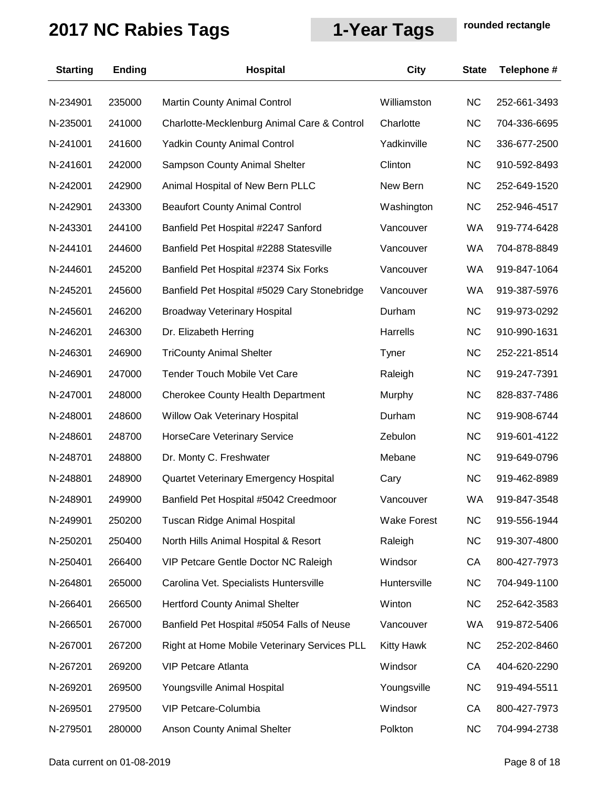| <b>Starting</b> | <b>Ending</b> | Hospital                                     | City               | <b>State</b> | Telephone #  |
|-----------------|---------------|----------------------------------------------|--------------------|--------------|--------------|
| N-234901        | 235000        | Martin County Animal Control                 | Williamston        | <b>NC</b>    | 252-661-3493 |
| N-235001        | 241000        | Charlotte-Mecklenburg Animal Care & Control  | Charlotte          | <b>NC</b>    | 704-336-6695 |
| N-241001        | 241600        | <b>Yadkin County Animal Control</b>          | Yadkinville        | <b>NC</b>    | 336-677-2500 |
| N-241601        | 242000        | Sampson County Animal Shelter                | Clinton            | <b>NC</b>    | 910-592-8493 |
| N-242001        | 242900        | Animal Hospital of New Bern PLLC             | New Bern           | <b>NC</b>    | 252-649-1520 |
| N-242901        | 243300        | <b>Beaufort County Animal Control</b>        | Washington         | <b>NC</b>    | 252-946-4517 |
| N-243301        | 244100        | Banfield Pet Hospital #2247 Sanford          | Vancouver          | WA           | 919-774-6428 |
| N-244101        | 244600        | Banfield Pet Hospital #2288 Statesville      | Vancouver          | <b>WA</b>    | 704-878-8849 |
| N-244601        | 245200        | Banfield Pet Hospital #2374 Six Forks        | Vancouver          | WA           | 919-847-1064 |
| N-245201        | 245600        | Banfield Pet Hospital #5029 Cary Stonebridge | Vancouver          | WA           | 919-387-5976 |
| N-245601        | 246200        | <b>Broadway Veterinary Hospital</b>          | Durham             | <b>NC</b>    | 919-973-0292 |
| N-246201        | 246300        | Dr. Elizabeth Herring                        | Harrells           | <b>NC</b>    | 910-990-1631 |
| N-246301        | 246900        | <b>TriCounty Animal Shelter</b>              | Tyner              | <b>NC</b>    | 252-221-8514 |
| N-246901        | 247000        | Tender Touch Mobile Vet Care                 | Raleigh            | <b>NC</b>    | 919-247-7391 |
| N-247001        | 248000        | <b>Cherokee County Health Department</b>     | Murphy             | <b>NC</b>    | 828-837-7486 |
| N-248001        | 248600        | Willow Oak Veterinary Hospital               | Durham             | <b>NC</b>    | 919-908-6744 |
| N-248601        | 248700        | <b>HorseCare Veterinary Service</b>          | Zebulon            | <b>NC</b>    | 919-601-4122 |
| N-248701        | 248800        | Dr. Monty C. Freshwater                      | Mebane             | <b>NC</b>    | 919-649-0796 |
| N-248801        | 248900        | Quartet Veterinary Emergency Hospital        | Cary               | <b>NC</b>    | 919-462-8989 |
| N-248901        | 249900        | Banfield Pet Hospital #5042 Creedmoor        | Vancouver          | WA           | 919-847-3548 |
| N-249901        | 250200        | Tuscan Ridge Animal Hospital                 | <b>Wake Forest</b> | <b>NC</b>    | 919-556-1944 |
| N-250201        | 250400        | North Hills Animal Hospital & Resort         | Raleigh            | <b>NC</b>    | 919-307-4800 |
| N-250401        | 266400        | VIP Petcare Gentle Doctor NC Raleigh         | Windsor            | CA           | 800-427-7973 |
| N-264801        | 265000        | Carolina Vet. Specialists Huntersville       | Huntersville       | <b>NC</b>    | 704-949-1100 |
| N-266401        | 266500        | <b>Hertford County Animal Shelter</b>        | Winton             | <b>NC</b>    | 252-642-3583 |
| N-266501        | 267000        | Banfield Pet Hospital #5054 Falls of Neuse   | Vancouver          | WA           | 919-872-5406 |
| N-267001        | 267200        | Right at Home Mobile Veterinary Services PLL | <b>Kitty Hawk</b>  | <b>NC</b>    | 252-202-8460 |
| N-267201        | 269200        | <b>VIP Petcare Atlanta</b>                   | Windsor            | CA           | 404-620-2290 |
| N-269201        | 269500        | Youngsville Animal Hospital                  | Youngsville        | <b>NC</b>    | 919-494-5511 |
| N-269501        | 279500        | VIP Petcare-Columbia                         | Windsor            | CA           | 800-427-7973 |
| N-279501        | 280000        | Anson County Animal Shelter                  | Polkton            | <b>NC</b>    | 704-994-2738 |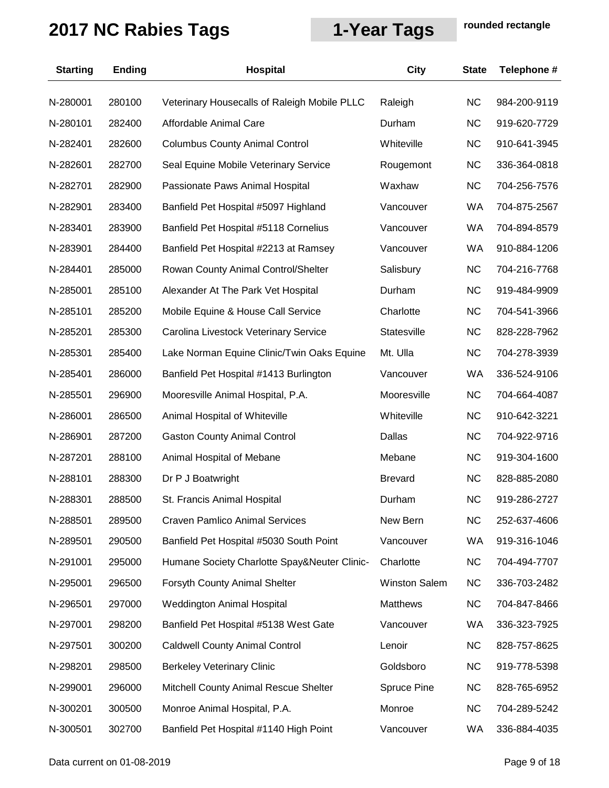| <b>Starting</b> | <b>Ending</b> | <b>Hospital</b>                              | City                 | <b>State</b> | Telephone #  |
|-----------------|---------------|----------------------------------------------|----------------------|--------------|--------------|
| N-280001        | 280100        | Veterinary Housecalls of Raleigh Mobile PLLC | Raleigh              | <b>NC</b>    | 984-200-9119 |
| N-280101        | 282400        | Affordable Animal Care                       | Durham               | <b>NC</b>    | 919-620-7729 |
| N-282401        | 282600        | <b>Columbus County Animal Control</b>        | Whiteville           | <b>NC</b>    | 910-641-3945 |
| N-282601        | 282700        | Seal Equine Mobile Veterinary Service        | Rougemont            | <b>NC</b>    | 336-364-0818 |
| N-282701        | 282900        | Passionate Paws Animal Hospital              | Waxhaw               | <b>NC</b>    | 704-256-7576 |
| N-282901        | 283400        | Banfield Pet Hospital #5097 Highland         | Vancouver            | WA           | 704-875-2567 |
| N-283401        | 283900        | Banfield Pet Hospital #5118 Cornelius        | Vancouver            | WA           | 704-894-8579 |
| N-283901        | 284400        | Banfield Pet Hospital #2213 at Ramsey        | Vancouver            | <b>WA</b>    | 910-884-1206 |
| N-284401        | 285000        | Rowan County Animal Control/Shelter          | Salisbury            | <b>NC</b>    | 704-216-7768 |
| N-285001        | 285100        | Alexander At The Park Vet Hospital           | Durham               | <b>NC</b>    | 919-484-9909 |
| N-285101        | 285200        | Mobile Equine & House Call Service           | Charlotte            | <b>NC</b>    | 704-541-3966 |
| N-285201        | 285300        | Carolina Livestock Veterinary Service        | Statesville          | <b>NC</b>    | 828-228-7962 |
| N-285301        | 285400        | Lake Norman Equine Clinic/Twin Oaks Equine   | Mt. Ulla             | <b>NC</b>    | 704-278-3939 |
| N-285401        | 286000        | Banfield Pet Hospital #1413 Burlington       | Vancouver            | <b>WA</b>    | 336-524-9106 |
| N-285501        | 296900        | Mooresville Animal Hospital, P.A.            | Mooresville          | <b>NC</b>    | 704-664-4087 |
| N-286001        | 286500        | Animal Hospital of Whiteville                | Whiteville           | <b>NC</b>    | 910-642-3221 |
| N-286901        | 287200        | <b>Gaston County Animal Control</b>          | Dallas               | <b>NC</b>    | 704-922-9716 |
| N-287201        | 288100        | Animal Hospital of Mebane                    | Mebane               | <b>NC</b>    | 919-304-1600 |
| N-288101        | 288300        | Dr P J Boatwright                            | <b>Brevard</b>       | <b>NC</b>    | 828-885-2080 |
| N-288301        | 288500        | St. Francis Animal Hospital                  | Durham               | <b>NC</b>    | 919-286-2727 |
| N-288501        | 289500        | <b>Craven Pamlico Animal Services</b>        | New Bern             | <b>NC</b>    | 252-637-4606 |
| N-289501        | 290500        | Banfield Pet Hospital #5030 South Point      | Vancouver            | WA           | 919-316-1046 |
| N-291001        | 295000        | Humane Society Charlotte Spay&Neuter Clinic- | Charlotte            | <b>NC</b>    | 704-494-7707 |
| N-295001        | 296500        | Forsyth County Animal Shelter                | <b>Winston Salem</b> | <b>NC</b>    | 336-703-2482 |
| N-296501        | 297000        | <b>Weddington Animal Hospital</b>            | Matthews             | <b>NC</b>    | 704-847-8466 |
| N-297001        | 298200        | Banfield Pet Hospital #5138 West Gate        | Vancouver            | <b>WA</b>    | 336-323-7925 |
| N-297501        | 300200        | <b>Caldwell County Animal Control</b>        | Lenoir               | <b>NC</b>    | 828-757-8625 |
| N-298201        | 298500        | <b>Berkeley Veterinary Clinic</b>            | Goldsboro            | <b>NC</b>    | 919-778-5398 |
| N-299001        | 296000        | Mitchell County Animal Rescue Shelter        | Spruce Pine          | <b>NC</b>    | 828-765-6952 |
| N-300201        | 300500        | Monroe Animal Hospital, P.A.                 | Monroe               | <b>NC</b>    | 704-289-5242 |
| N-300501        | 302700        | Banfield Pet Hospital #1140 High Point       | Vancouver            | WA           | 336-884-4035 |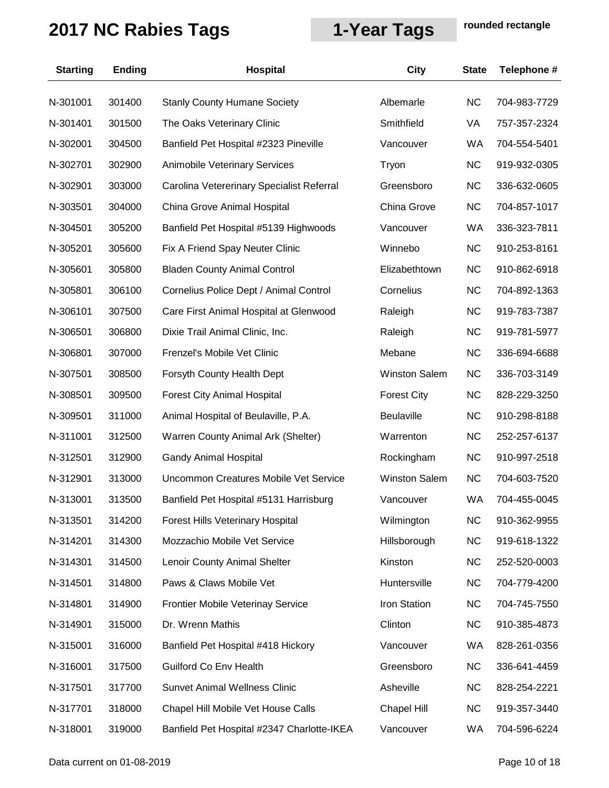| <b>Starting</b> | <b>Ending</b> | Hospital                                   | <b>City</b>          | <b>State</b> | Telephone #  |
|-----------------|---------------|--------------------------------------------|----------------------|--------------|--------------|
| N-301001        | 301400        | <b>Stanly County Humane Society</b>        | Albemarle            | <b>NC</b>    | 704-983-7729 |
| N-301401        | 301500        | The Oaks Veterinary Clinic                 | Smithfield           | VA           | 757-357-2324 |
| N-302001        | 304500        | Banfield Pet Hospital #2323 Pineville      | Vancouver            | <b>WA</b>    | 704-554-5401 |
| N-302701        | 302900        | Animobile Veterinary Services              | Tryon                | <b>NC</b>    | 919-932-0305 |
| N-302901        | 303000        | Carolina Vetererinary Specialist Referral  | Greensboro           | <b>NC</b>    | 336-632-0605 |
| N-303501        | 304000        | China Grove Animal Hospital                | China Grove          | <b>NC</b>    | 704-857-1017 |
| N-304501        | 305200        | Banfield Pet Hospital #5139 Highwoods      | Vancouver            | <b>WA</b>    | 336-323-7811 |
| N-305201        | 305600        | Fix A Friend Spay Neuter Clinic            | Winnebo              | NC           | 910-253-8161 |
| N-305601        | 305800        | <b>Bladen County Animal Control</b>        | Elizabethtown        | <b>NC</b>    | 910-862-6918 |
| N-305801        | 306100        | Cornelius Police Dept / Animal Control     | Cornelius            | <b>NC</b>    | 704-892-1363 |
| N-306101        | 307500        | Care First Animal Hospital at Glenwood     | Raleigh              | <b>NC</b>    | 919-783-7387 |
| N-306501        | 306800        | Dixie Trail Animal Clinic, Inc.            | Raleigh              | <b>NC</b>    | 919-781-5977 |
| N-306801        | 307000        | Frenzel's Mobile Vet Clinic                | Mebane               | <b>NC</b>    | 336-694-6688 |
| N-307501        | 308500        | Forsyth County Health Dept                 | <b>Winston Salem</b> | <b>NC</b>    | 336-703-3149 |
| N-308501        | 309500        | <b>Forest City Animal Hospital</b>         | <b>Forest City</b>   | <b>NC</b>    | 828-229-3250 |
| N-309501        | 311000        | Animal Hospital of Beulaville, P.A.        | <b>Beulaville</b>    | <b>NC</b>    | 910-298-8188 |
| N-311001        | 312500        | Warren County Animal Ark (Shelter)         | Warrenton            | <b>NC</b>    | 252-257-6137 |
| N-312501        | 312900        | <b>Gandy Animal Hospital</b>               | Rockingham           | <b>NC</b>    | 910-997-2518 |
| N-312901        | 313000        | Uncommon Creatures Mobile Vet Service      | <b>Winston Salem</b> | <b>NC</b>    | 704-603-7520 |
| N-313001        | 313500        | Banfield Pet Hospital #5131 Harrisburg     | Vancouver            | <b>WA</b>    | 704-455-0045 |
| N-313501        | 314200        | Forest Hills Veterinary Hospital           | Wilmington           | <b>NC</b>    | 910-362-9955 |
| N-314201        | 314300        | Mozzachio Mobile Vet Service               | Hillsborough         | <b>NC</b>    | 919-618-1322 |
| N-314301        | 314500        | Lenoir County Animal Shelter               | Kinston              | <b>NC</b>    | 252-520-0003 |
| N-314501        | 314800        | Paws & Claws Mobile Vet                    | Huntersville         | <b>NC</b>    | 704-779-4200 |
| N-314801        | 314900        | Frontier Mobile Veterinay Service          | Iron Station         | <b>NC</b>    | 704-745-7550 |
| N-314901        | 315000        | Dr. Wrenn Mathis                           | Clinton              | <b>NC</b>    | 910-385-4873 |
| N-315001        | 316000        | Banfield Pet Hospital #418 Hickory         | Vancouver            | WA           | 828-261-0356 |
| N-316001        | 317500        | Guilford Co Env Health                     | Greensboro           | <b>NC</b>    | 336-641-4459 |
| N-317501        | 317700        | <b>Sunvet Animal Wellness Clinic</b>       | Asheville            | <b>NC</b>    | 828-254-2221 |
| N-317701        | 318000        | Chapel Hill Mobile Vet House Calls         | Chapel Hill          | <b>NC</b>    | 919-357-3440 |
| N-318001        | 319000        | Banfield Pet Hospital #2347 Charlotte-IKEA | Vancouver            | WA           | 704-596-6224 |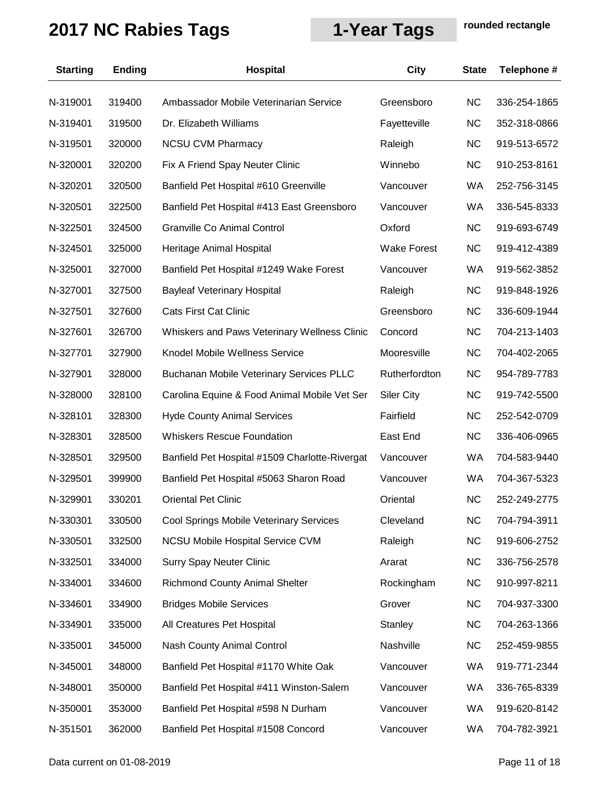| <b>Starting</b> | <b>Ending</b> | Hospital                                        | City               | <b>State</b> | Telephone #  |
|-----------------|---------------|-------------------------------------------------|--------------------|--------------|--------------|
| N-319001        | 319400        | Ambassador Mobile Veterinarian Service          | Greensboro         | <b>NC</b>    | 336-254-1865 |
| N-319401        | 319500        | Dr. Elizabeth Williams                          | Fayetteville       | <b>NC</b>    | 352-318-0866 |
| N-319501        | 320000        | <b>NCSU CVM Pharmacy</b>                        | Raleigh            | <b>NC</b>    | 919-513-6572 |
| N-320001        | 320200        | Fix A Friend Spay Neuter Clinic                 | Winnebo            | <b>NC</b>    | 910-253-8161 |
| N-320201        | 320500        | Banfield Pet Hospital #610 Greenville           | Vancouver          | WA           | 252-756-3145 |
| N-320501        | 322500        | Banfield Pet Hospital #413 East Greensboro      | Vancouver          | WA           | 336-545-8333 |
| N-322501        | 324500        | <b>Granville Co Animal Control</b>              | Oxford             | <b>NC</b>    | 919-693-6749 |
| N-324501        | 325000        | Heritage Animal Hospital                        | <b>Wake Forest</b> | <b>NC</b>    | 919-412-4389 |
| N-325001        | 327000        | Banfield Pet Hospital #1249 Wake Forest         | Vancouver          | WA           | 919-562-3852 |
| N-327001        | 327500        | <b>Bayleaf Veterinary Hospital</b>              | Raleigh            | <b>NC</b>    | 919-848-1926 |
| N-327501        | 327600        | <b>Cats First Cat Clinic</b>                    | Greensboro         | <b>NC</b>    | 336-609-1944 |
| N-327601        | 326700        | Whiskers and Paws Veterinary Wellness Clinic    | Concord            | <b>NC</b>    | 704-213-1403 |
| N-327701        | 327900        | Knodel Mobile Wellness Service                  | Mooresville        | <b>NC</b>    | 704-402-2065 |
| N-327901        | 328000        | <b>Buchanan Mobile Veterinary Services PLLC</b> | Rutherfordton      | <b>NC</b>    | 954-789-7783 |
| N-328000        | 328100        | Carolina Equine & Food Animal Mobile Vet Ser    | <b>Siler City</b>  | <b>NC</b>    | 919-742-5500 |
| N-328101        | 328300        | <b>Hyde County Animal Services</b>              | Fairfield          | <b>NC</b>    | 252-542-0709 |
| N-328301        | 328500        | <b>Whiskers Rescue Foundation</b>               | East End           | <b>NC</b>    | 336-406-0965 |
| N-328501        | 329500        | Banfield Pet Hospital #1509 Charlotte-Rivergat  | Vancouver          | WA           | 704-583-9440 |
| N-329501        | 399900        | Banfield Pet Hospital #5063 Sharon Road         | Vancouver          | WA           | 704-367-5323 |
| N-329901        | 330201        | <b>Oriental Pet Clinic</b>                      | Oriental           | <b>NC</b>    | 252-249-2775 |
| N-330301        | 330500        | Cool Springs Mobile Veterinary Services         | Cleveland          | <b>NC</b>    | 704-794-3911 |
| N-330501        | 332500        | <b>NCSU Mobile Hospital Service CVM</b>         | Raleigh            | <b>NC</b>    | 919-606-2752 |
| N-332501        | 334000        | <b>Surry Spay Neuter Clinic</b>                 | Ararat             | <b>NC</b>    | 336-756-2578 |
| N-334001        | 334600        | <b>Richmond County Animal Shelter</b>           | Rockingham         | <b>NC</b>    | 910-997-8211 |
| N-334601        | 334900        | <b>Bridges Mobile Services</b>                  | Grover             | <b>NC</b>    | 704-937-3300 |
| N-334901        | 335000        | All Creatures Pet Hospital                      | Stanley            | <b>NC</b>    | 704-263-1366 |
| N-335001        | 345000        | Nash County Animal Control                      | Nashville          | <b>NC</b>    | 252-459-9855 |
| N-345001        | 348000        | Banfield Pet Hospital #1170 White Oak           | Vancouver          | WA           | 919-771-2344 |
| N-348001        | 350000        | Banfield Pet Hospital #411 Winston-Salem        | Vancouver          | WA           | 336-765-8339 |
| N-350001        | 353000        | Banfield Pet Hospital #598 N Durham             | Vancouver          | WA           | 919-620-8142 |
| N-351501        | 362000        | Banfield Pet Hospital #1508 Concord             | Vancouver          | WA           | 704-782-3921 |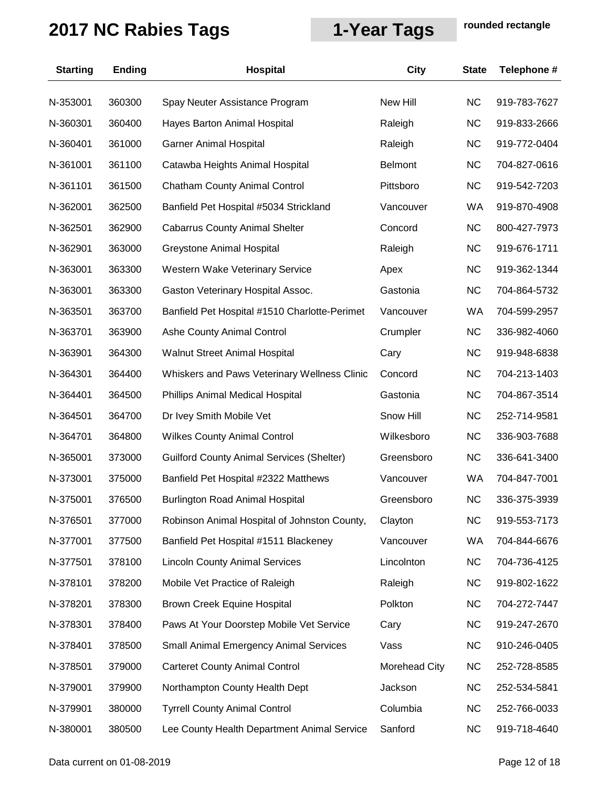| <b>Starting</b> | <b>Ending</b> | Hospital                                         | City                 | <b>State</b> | Telephone #  |
|-----------------|---------------|--------------------------------------------------|----------------------|--------------|--------------|
| N-353001        | 360300        | Spay Neuter Assistance Program                   | New Hill             | <b>NC</b>    | 919-783-7627 |
| N-360301        | 360400        | Hayes Barton Animal Hospital                     | Raleigh              | <b>NC</b>    | 919-833-2666 |
| N-360401        | 361000        | <b>Garner Animal Hospital</b>                    | Raleigh              | <b>NC</b>    | 919-772-0404 |
| N-361001        | 361100        | Catawba Heights Animal Hospital                  | <b>Belmont</b>       | <b>NC</b>    | 704-827-0616 |
| N-361101        | 361500        | <b>Chatham County Animal Control</b>             | Pittsboro            | <b>NC</b>    | 919-542-7203 |
| N-362001        | 362500        | Banfield Pet Hospital #5034 Strickland           | Vancouver            | WA           | 919-870-4908 |
| N-362501        | 362900        | <b>Cabarrus County Animal Shelter</b>            | Concord              | <b>NC</b>    | 800-427-7973 |
| N-362901        | 363000        | Greystone Animal Hospital                        | Raleigh              | <b>NC</b>    | 919-676-1711 |
| N-363001        | 363300        | Western Wake Veterinary Service                  | Apex                 | <b>NC</b>    | 919-362-1344 |
| N-363001        | 363300        | Gaston Veterinary Hospital Assoc.                | Gastonia             | <b>NC</b>    | 704-864-5732 |
| N-363501        | 363700        | Banfield Pet Hospital #1510 Charlotte-Perimet    | Vancouver            | WA           | 704-599-2957 |
| N-363701        | 363900        | Ashe County Animal Control                       | Crumpler             | <b>NC</b>    | 336-982-4060 |
| N-363901        | 364300        | <b>Walnut Street Animal Hospital</b>             | Cary                 | <b>NC</b>    | 919-948-6838 |
| N-364301        | 364400        | Whiskers and Paws Veterinary Wellness Clinic     | Concord              | <b>NC</b>    | 704-213-1403 |
| N-364401        | 364500        | Phillips Animal Medical Hospital                 | Gastonia             | <b>NC</b>    | 704-867-3514 |
| N-364501        | 364700        | Dr Ivey Smith Mobile Vet                         | Snow Hill            | <b>NC</b>    | 252-714-9581 |
| N-364701        | 364800        | <b>Wilkes County Animal Control</b>              | Wilkesboro           | <b>NC</b>    | 336-903-7688 |
| N-365001        | 373000        | <b>Guilford County Animal Services (Shelter)</b> | Greensboro           | <b>NC</b>    | 336-641-3400 |
| N-373001        | 375000        | Banfield Pet Hospital #2322 Matthews             | Vancouver            | WA           | 704-847-7001 |
| N-375001        | 376500        | <b>Burlington Road Animal Hospital</b>           | Greensboro           | <b>NC</b>    | 336-375-3939 |
| N-376501        | 377000        | Robinson Animal Hospital of Johnston County,     | Clayton              | <b>NC</b>    | 919-553-7173 |
| N-377001        | 377500        | Banfield Pet Hospital #1511 Blackeney            | Vancouver            | WA           | 704-844-6676 |
| N-377501        | 378100        | <b>Lincoln County Animal Services</b>            | Lincolnton           | <b>NC</b>    | 704-736-4125 |
| N-378101        | 378200        | Mobile Vet Practice of Raleigh                   | Raleigh              | <b>NC</b>    | 919-802-1622 |
| N-378201        | 378300        | <b>Brown Creek Equine Hospital</b>               | Polkton              | <b>NC</b>    | 704-272-7447 |
| N-378301        | 378400        | Paws At Your Doorstep Mobile Vet Service         | Cary                 | <b>NC</b>    | 919-247-2670 |
| N-378401        | 378500        | <b>Small Animal Emergency Animal Services</b>    | Vass                 | <b>NC</b>    | 910-246-0405 |
| N-378501        | 379000        | <b>Carteret County Animal Control</b>            | <b>Morehead City</b> | <b>NC</b>    | 252-728-8585 |
| N-379001        | 379900        | Northampton County Health Dept                   | Jackson              | <b>NC</b>    | 252-534-5841 |
| N-379901        | 380000        | <b>Tyrrell County Animal Control</b>             | Columbia             | <b>NC</b>    | 252-766-0033 |
| N-380001        | 380500        | Lee County Health Department Animal Service      | Sanford              | <b>NC</b>    | 919-718-4640 |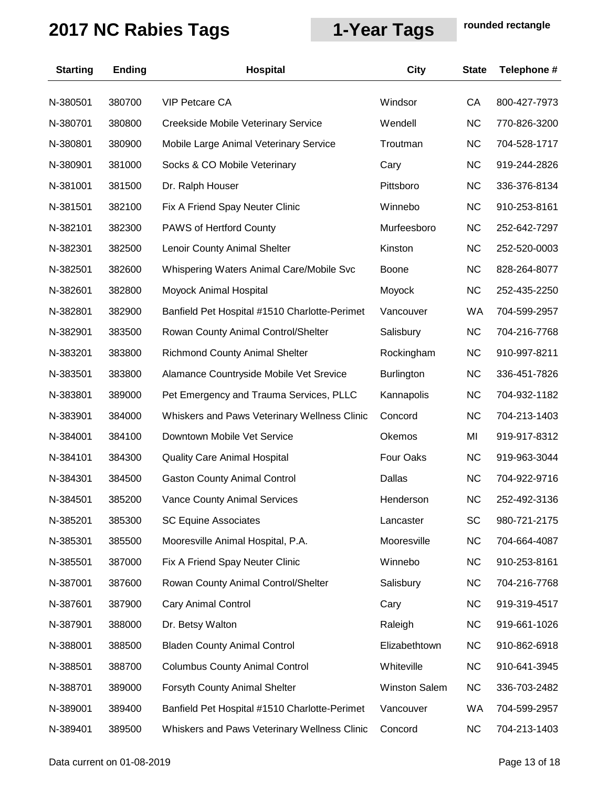| <b>Starting</b> | <b>Ending</b> | Hospital                                      | <b>City</b>          | <b>State</b> | Telephone #  |
|-----------------|---------------|-----------------------------------------------|----------------------|--------------|--------------|
| N-380501        | 380700        | <b>VIP Petcare CA</b>                         | Windsor              | CA           | 800-427-7973 |
| N-380701        | 380800        | Creekside Mobile Veterinary Service           | Wendell              | <b>NC</b>    | 770-826-3200 |
| N-380801        | 380900        | Mobile Large Animal Veterinary Service        | Troutman             | <b>NC</b>    | 704-528-1717 |
| N-380901        | 381000        | Socks & CO Mobile Veterinary                  | Cary                 | <b>NC</b>    | 919-244-2826 |
| N-381001        | 381500        | Dr. Ralph Houser                              | Pittsboro            | <b>NC</b>    | 336-376-8134 |
| N-381501        | 382100        | Fix A Friend Spay Neuter Clinic               | Winnebo              | <b>NC</b>    | 910-253-8161 |
| N-382101        | 382300        | PAWS of Hertford County                       | Murfeesboro          | <b>NC</b>    | 252-642-7297 |
| N-382301        | 382500        | Lenoir County Animal Shelter                  | Kinston              | <b>NC</b>    | 252-520-0003 |
| N-382501        | 382600        | Whispering Waters Animal Care/Mobile Svc      | <b>Boone</b>         | <b>NC</b>    | 828-264-8077 |
| N-382601        | 382800        | Moyock Animal Hospital                        | Moyock               | <b>NC</b>    | 252-435-2250 |
| N-382801        | 382900        | Banfield Pet Hospital #1510 Charlotte-Perimet | Vancouver            | WA           | 704-599-2957 |
| N-382901        | 383500        | Rowan County Animal Control/Shelter           | Salisbury            | <b>NC</b>    | 704-216-7768 |
| N-383201        | 383800        | <b>Richmond County Animal Shelter</b>         | Rockingham           | <b>NC</b>    | 910-997-8211 |
| N-383501        | 383800        | Alamance Countryside Mobile Vet Srevice       | <b>Burlington</b>    | <b>NC</b>    | 336-451-7826 |
| N-383801        | 389000        | Pet Emergency and Trauma Services, PLLC       | Kannapolis           | <b>NC</b>    | 704-932-1182 |
| N-383901        | 384000        | Whiskers and Paws Veterinary Wellness Clinic  | Concord              | <b>NC</b>    | 704-213-1403 |
| N-384001        | 384100        | Downtown Mobile Vet Service                   | Okemos               | MI           | 919-917-8312 |
| N-384101        | 384300        | <b>Quality Care Animal Hospital</b>           | Four Oaks            | <b>NC</b>    | 919-963-3044 |
| N-384301        | 384500        | <b>Gaston County Animal Control</b>           | Dallas               | <b>NC</b>    | 704-922-9716 |
| N-384501        | 385200        | <b>Vance County Animal Services</b>           | Henderson            | <b>NC</b>    | 252-492-3136 |
| N-385201        | 385300        | <b>SC Equine Associates</b>                   | Lancaster            | SC           | 980-721-2175 |
| N-385301        | 385500        | Mooresville Animal Hospital, P.A.             | Mooresville          | <b>NC</b>    | 704-664-4087 |
| N-385501        | 387000        | Fix A Friend Spay Neuter Clinic               | Winnebo              | <b>NC</b>    | 910-253-8161 |
| N-387001        | 387600        | Rowan County Animal Control/Shelter           | Salisbury            | <b>NC</b>    | 704-216-7768 |
| N-387601        | 387900        | <b>Cary Animal Control</b>                    | Cary                 | <b>NC</b>    | 919-319-4517 |
| N-387901        | 388000        | Dr. Betsy Walton                              | Raleigh              | <b>NC</b>    | 919-661-1026 |
| N-388001        | 388500        | <b>Bladen County Animal Control</b>           | Elizabethtown        | <b>NC</b>    | 910-862-6918 |
| N-388501        | 388700        | <b>Columbus County Animal Control</b>         | Whiteville           | <b>NC</b>    | 910-641-3945 |
| N-388701        | 389000        | Forsyth County Animal Shelter                 | <b>Winston Salem</b> | <b>NC</b>    | 336-703-2482 |
| N-389001        | 389400        | Banfield Pet Hospital #1510 Charlotte-Perimet | Vancouver            | WA           | 704-599-2957 |
| N-389401        | 389500        | Whiskers and Paws Veterinary Wellness Clinic  | Concord              | <b>NC</b>    | 704-213-1403 |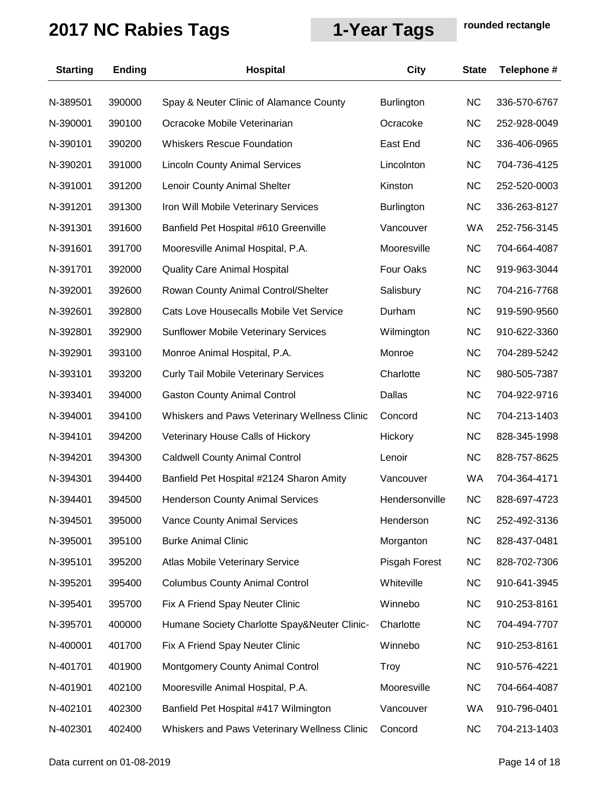| <b>Starting</b> | <b>Ending</b> | Hospital                                     | City              | <b>State</b> | Telephone #  |
|-----------------|---------------|----------------------------------------------|-------------------|--------------|--------------|
| N-389501        | 390000        | Spay & Neuter Clinic of Alamance County      | <b>Burlington</b> | <b>NC</b>    | 336-570-6767 |
| N-390001        | 390100        | Ocracoke Mobile Veterinarian                 | Ocracoke          | <b>NC</b>    | 252-928-0049 |
| N-390101        | 390200        | <b>Whiskers Rescue Foundation</b>            | East End          | <b>NC</b>    | 336-406-0965 |
| N-390201        | 391000        | <b>Lincoln County Animal Services</b>        | Lincolnton        | <b>NC</b>    | 704-736-4125 |
| N-391001        | 391200        | Lenoir County Animal Shelter                 | Kinston           | <b>NC</b>    | 252-520-0003 |
| N-391201        | 391300        | Iron Will Mobile Veterinary Services         | <b>Burlington</b> | <b>NC</b>    | 336-263-8127 |
| N-391301        | 391600        | Banfield Pet Hospital #610 Greenville        | Vancouver         | WA           | 252-756-3145 |
| N-391601        | 391700        | Mooresville Animal Hospital, P.A.            | Mooresville       | <b>NC</b>    | 704-664-4087 |
| N-391701        | 392000        | <b>Quality Care Animal Hospital</b>          | Four Oaks         | <b>NC</b>    | 919-963-3044 |
| N-392001        | 392600        | Rowan County Animal Control/Shelter          | Salisbury         | <b>NC</b>    | 704-216-7768 |
| N-392601        | 392800        | Cats Love Housecalls Mobile Vet Service      | Durham            | <b>NC</b>    | 919-590-9560 |
| N-392801        | 392900        | <b>Sunflower Mobile Veterinary Services</b>  | Wilmington        | <b>NC</b>    | 910-622-3360 |
| N-392901        | 393100        | Monroe Animal Hospital, P.A.                 | Monroe            | <b>NC</b>    | 704-289-5242 |
| N-393101        | 393200        | <b>Curly Tail Mobile Veterinary Services</b> | Charlotte         | <b>NC</b>    | 980-505-7387 |
| N-393401        | 394000        | <b>Gaston County Animal Control</b>          | Dallas            | <b>NC</b>    | 704-922-9716 |
| N-394001        | 394100        | Whiskers and Paws Veterinary Wellness Clinic | Concord           | <b>NC</b>    | 704-213-1403 |
| N-394101        | 394200        | Veterinary House Calls of Hickory            | Hickory           | <b>NC</b>    | 828-345-1998 |
| N-394201        | 394300        | <b>Caldwell County Animal Control</b>        | Lenoir            | <b>NC</b>    | 828-757-8625 |
| N-394301        | 394400        | Banfield Pet Hospital #2124 Sharon Amity     | Vancouver         | WA           | 704-364-4171 |
| N-394401        | 394500        | <b>Henderson County Animal Services</b>      | Hendersonville    | <b>NC</b>    | 828-697-4723 |
| N-394501        | 395000        | <b>Vance County Animal Services</b>          | Henderson         | <b>NC</b>    | 252-492-3136 |
| N-395001        | 395100        | <b>Burke Animal Clinic</b>                   | Morganton         | <b>NC</b>    | 828-437-0481 |
| N-395101        | 395200        | Atlas Mobile Veterinary Service              | Pisgah Forest     | <b>NC</b>    | 828-702-7306 |
| N-395201        | 395400        | <b>Columbus County Animal Control</b>        | Whiteville        | <b>NC</b>    | 910-641-3945 |
| N-395401        | 395700        | Fix A Friend Spay Neuter Clinic              | Winnebo           | <b>NC</b>    | 910-253-8161 |
| N-395701        | 400000        | Humane Society Charlotte Spay&Neuter Clinic- | Charlotte         | <b>NC</b>    | 704-494-7707 |
| N-400001        | 401700        | Fix A Friend Spay Neuter Clinic              | Winnebo           | <b>NC</b>    | 910-253-8161 |
| N-401701        | 401900        | Montgomery County Animal Control             | Troy              | <b>NC</b>    | 910-576-4221 |
| N-401901        | 402100        | Mooresville Animal Hospital, P.A.            | Mooresville       | <b>NC</b>    | 704-664-4087 |
| N-402101        | 402300        | Banfield Pet Hospital #417 Wilmington        | Vancouver         | WA           | 910-796-0401 |
| N-402301        | 402400        | Whiskers and Paws Veterinary Wellness Clinic | Concord           | <b>NC</b>    | 704-213-1403 |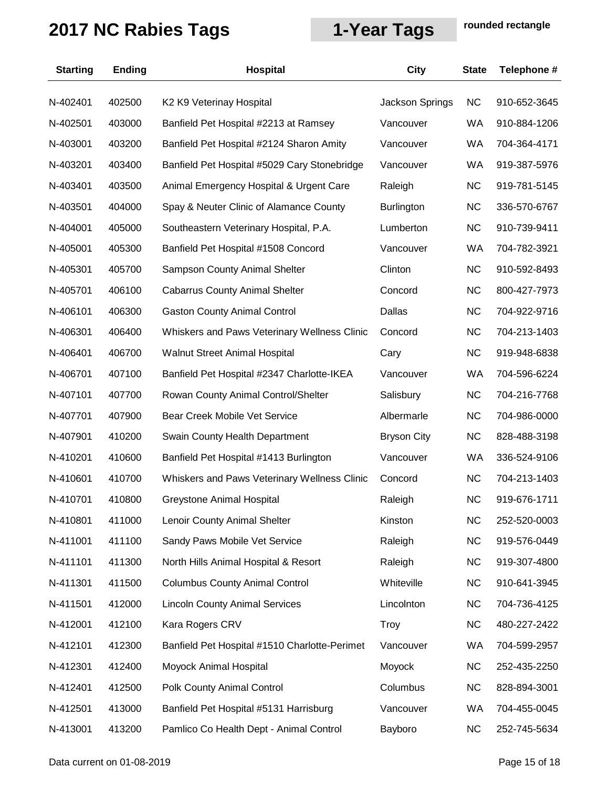| <b>Starting</b> | <b>Ending</b> | Hospital                                      | City               | <b>State</b> | Telephone #  |
|-----------------|---------------|-----------------------------------------------|--------------------|--------------|--------------|
| N-402401        | 402500        | K2 K9 Veterinay Hospital                      | Jackson Springs    | <b>NC</b>    | 910-652-3645 |
| N-402501        | 403000        | Banfield Pet Hospital #2213 at Ramsey         | Vancouver          | <b>WA</b>    | 910-884-1206 |
| N-403001        | 403200        | Banfield Pet Hospital #2124 Sharon Amity      | Vancouver          | WA           | 704-364-4171 |
| N-403201        | 403400        | Banfield Pet Hospital #5029 Cary Stonebridge  | Vancouver          | <b>WA</b>    | 919-387-5976 |
| N-403401        | 403500        | Animal Emergency Hospital & Urgent Care       | Raleigh            | <b>NC</b>    | 919-781-5145 |
| N-403501        | 404000        | Spay & Neuter Clinic of Alamance County       | <b>Burlington</b>  | <b>NC</b>    | 336-570-6767 |
| N-404001        | 405000        | Southeastern Veterinary Hospital, P.A.        | Lumberton          | <b>NC</b>    | 910-739-9411 |
| N-405001        | 405300        | Banfield Pet Hospital #1508 Concord           | Vancouver          | <b>WA</b>    | 704-782-3921 |
| N-405301        | 405700        | Sampson County Animal Shelter                 | Clinton            | NC           | 910-592-8493 |
| N-405701        | 406100        | <b>Cabarrus County Animal Shelter</b>         | Concord            | <b>NC</b>    | 800-427-7973 |
| N-406101        | 406300        | <b>Gaston County Animal Control</b>           | Dallas             | <b>NC</b>    | 704-922-9716 |
| N-406301        | 406400        | Whiskers and Paws Veterinary Wellness Clinic  | Concord            | <b>NC</b>    | 704-213-1403 |
| N-406401        | 406700        | <b>Walnut Street Animal Hospital</b>          | Cary               | <b>NC</b>    | 919-948-6838 |
| N-406701        | 407100        | Banfield Pet Hospital #2347 Charlotte-IKEA    | Vancouver          | <b>WA</b>    | 704-596-6224 |
| N-407101        | 407700        | Rowan County Animal Control/Shelter           | Salisbury          | <b>NC</b>    | 704-216-7768 |
| N-407701        | 407900        | Bear Creek Mobile Vet Service                 | Albermarle         | <b>NC</b>    | 704-986-0000 |
| N-407901        | 410200        | Swain County Health Department                | <b>Bryson City</b> | <b>NC</b>    | 828-488-3198 |
| N-410201        | 410600        | Banfield Pet Hospital #1413 Burlington        | Vancouver          | <b>WA</b>    | 336-524-9106 |
| N-410601        | 410700        | Whiskers and Paws Veterinary Wellness Clinic  | Concord            | <b>NC</b>    | 704-213-1403 |
| N-410701        | 410800        | Greystone Animal Hospital                     | Raleigh            | <b>NC</b>    | 919-676-1711 |
| N-410801        | 411000        | Lenoir County Animal Shelter                  | Kinston            | <b>NC</b>    | 252-520-0003 |
| N-411001        | 411100        | Sandy Paws Mobile Vet Service                 | Raleigh            | <b>NC</b>    | 919-576-0449 |
| N-411101        | 411300        | North Hills Animal Hospital & Resort          | Raleigh            | NC           | 919-307-4800 |
| N-411301        | 411500        | <b>Columbus County Animal Control</b>         | Whiteville         | <b>NC</b>    | 910-641-3945 |
| N-411501        | 412000        | <b>Lincoln County Animal Services</b>         | Lincolnton         | <b>NC</b>    | 704-736-4125 |
| N-412001        | 412100        | Kara Rogers CRV                               | <b>Troy</b>        | <b>NC</b>    | 480-227-2422 |
| N-412101        | 412300        | Banfield Pet Hospital #1510 Charlotte-Perimet | Vancouver          | WA           | 704-599-2957 |
| N-412301        | 412400        | Moyock Animal Hospital                        | Moyock             | <b>NC</b>    | 252-435-2250 |
| N-412401        | 412500        | Polk County Animal Control                    | Columbus           | <b>NC</b>    | 828-894-3001 |
| N-412501        | 413000        | Banfield Pet Hospital #5131 Harrisburg        | Vancouver          | <b>WA</b>    | 704-455-0045 |
| N-413001        | 413200        | Pamlico Co Health Dept - Animal Control       | Bayboro            | <b>NC</b>    | 252-745-5634 |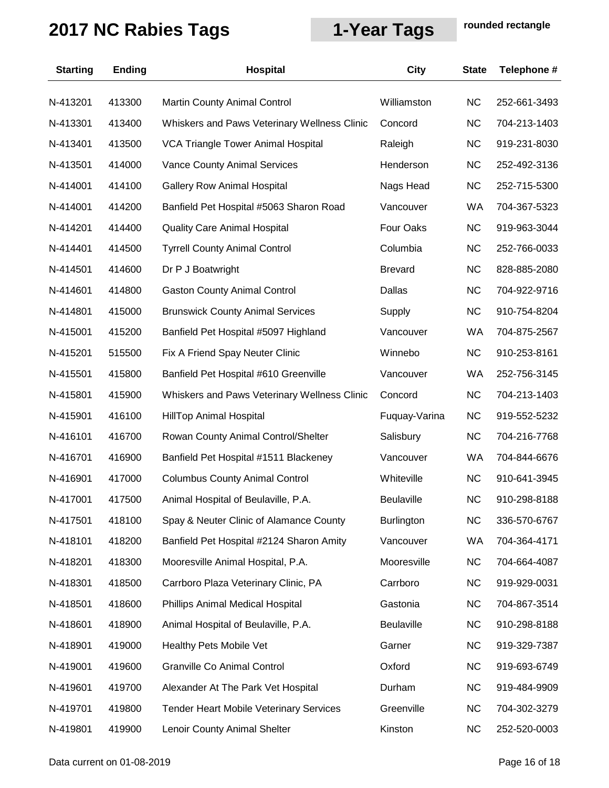| <b>Starting</b> | <b>Ending</b> | Hospital                                       | <b>City</b>       | <b>State</b> | Telephone #  |
|-----------------|---------------|------------------------------------------------|-------------------|--------------|--------------|
| N-413201        | 413300        | <b>Martin County Animal Control</b>            | Williamston       | <b>NC</b>    | 252-661-3493 |
| N-413301        | 413400        | Whiskers and Paws Veterinary Wellness Clinic   | Concord           | <b>NC</b>    | 704-213-1403 |
| N-413401        | 413500        | VCA Triangle Tower Animal Hospital             | Raleigh           | <b>NC</b>    | 919-231-8030 |
| N-413501        | 414000        | Vance County Animal Services                   | Henderson         | <b>NC</b>    | 252-492-3136 |
| N-414001        | 414100        | <b>Gallery Row Animal Hospital</b>             | Nags Head         | <b>NC</b>    | 252-715-5300 |
| N-414001        | 414200        | Banfield Pet Hospital #5063 Sharon Road        | Vancouver         | <b>WA</b>    | 704-367-5323 |
| N-414201        | 414400        | <b>Quality Care Animal Hospital</b>            | Four Oaks         | <b>NC</b>    | 919-963-3044 |
| N-414401        | 414500        | <b>Tyrrell County Animal Control</b>           | Columbia          | <b>NC</b>    | 252-766-0033 |
| N-414501        | 414600        | Dr P J Boatwright                              | <b>Brevard</b>    | <b>NC</b>    | 828-885-2080 |
| N-414601        | 414800        | <b>Gaston County Animal Control</b>            | Dallas            | <b>NC</b>    | 704-922-9716 |
| N-414801        | 415000        | <b>Brunswick County Animal Services</b>        | Supply            | <b>NC</b>    | 910-754-8204 |
| N-415001        | 415200        | Banfield Pet Hospital #5097 Highland           | Vancouver         | <b>WA</b>    | 704-875-2567 |
| N-415201        | 515500        | Fix A Friend Spay Neuter Clinic                | Winnebo           | <b>NC</b>    | 910-253-8161 |
| N-415501        | 415800        | Banfield Pet Hospital #610 Greenville          | Vancouver         | <b>WA</b>    | 252-756-3145 |
| N-415801        | 415900        | Whiskers and Paws Veterinary Wellness Clinic   | Concord           | <b>NC</b>    | 704-213-1403 |
| N-415901        | 416100        | <b>HillTop Animal Hospital</b>                 | Fuquay-Varina     | <b>NC</b>    | 919-552-5232 |
| N-416101        | 416700        | Rowan County Animal Control/Shelter            | Salisbury         | <b>NC</b>    | 704-216-7768 |
| N-416701        | 416900        | Banfield Pet Hospital #1511 Blackeney          | Vancouver         | <b>WA</b>    | 704-844-6676 |
| N-416901        | 417000        | <b>Columbus County Animal Control</b>          | Whiteville        | <b>NC</b>    | 910-641-3945 |
| N-417001        | 417500        | Animal Hospital of Beulaville, P.A.            | <b>Beulaville</b> | <b>NC</b>    | 910-298-8188 |
| N-417501        | 418100        | Spay & Neuter Clinic of Alamance County        | <b>Burlington</b> | <b>NC</b>    | 336-570-6767 |
| N-418101        | 418200        | Banfield Pet Hospital #2124 Sharon Amity       | Vancouver         | <b>WA</b>    | 704-364-4171 |
| N-418201        | 418300        | Mooresville Animal Hospital, P.A.              | Mooresville       | <b>NC</b>    | 704-664-4087 |
| N-418301        | 418500        | Carrboro Plaza Veterinary Clinic, PA           | Carrboro          | <b>NC</b>    | 919-929-0031 |
| N-418501        | 418600        | <b>Phillips Animal Medical Hospital</b>        | Gastonia          | <b>NC</b>    | 704-867-3514 |
| N-418601        | 418900        | Animal Hospital of Beulaville, P.A.            | Beulaville        | <b>NC</b>    | 910-298-8188 |
| N-418901        | 419000        | <b>Healthy Pets Mobile Vet</b>                 | Garner            | <b>NC</b>    | 919-329-7387 |
| N-419001        | 419600        | Granville Co Animal Control                    | Oxford            | <b>NC</b>    | 919-693-6749 |
| N-419601        | 419700        | Alexander At The Park Vet Hospital             | Durham            | <b>NC</b>    | 919-484-9909 |
| N-419701        | 419800        | <b>Tender Heart Mobile Veterinary Services</b> | Greenville        | <b>NC</b>    | 704-302-3279 |
| N-419801        | 419900        | Lenoir County Animal Shelter                   | Kinston           | <b>NC</b>    | 252-520-0003 |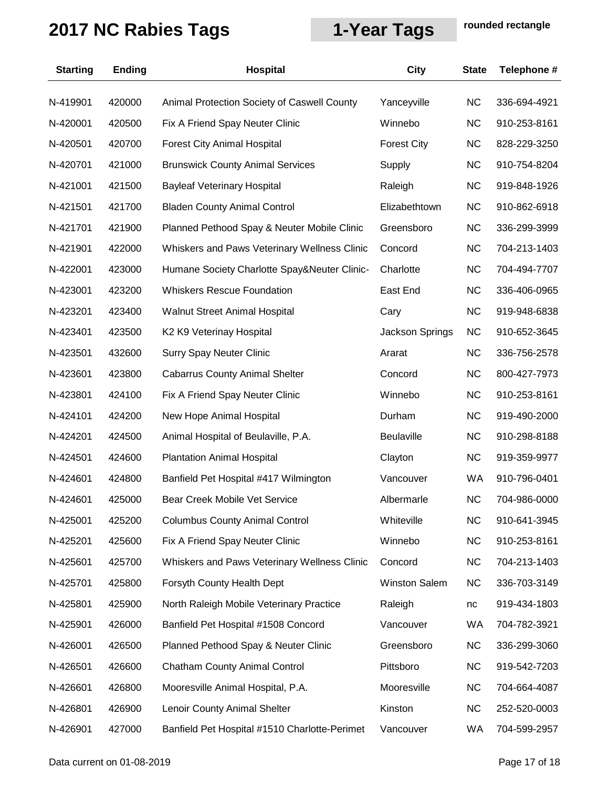| <b>Starting</b> | <b>Ending</b> | Hospital                                      | City                   | <b>State</b> | Telephone #  |
|-----------------|---------------|-----------------------------------------------|------------------------|--------------|--------------|
| N-419901        | 420000        | Animal Protection Society of Caswell County   | Yanceyville            | <b>NC</b>    | 336-694-4921 |
| N-420001        | 420500        | Fix A Friend Spay Neuter Clinic               | Winnebo                | <b>NC</b>    | 910-253-8161 |
| N-420501        | 420700        | <b>Forest City Animal Hospital</b>            | <b>Forest City</b>     | <b>NC</b>    | 828-229-3250 |
| N-420701        | 421000        | <b>Brunswick County Animal Services</b>       | Supply                 | <b>NC</b>    | 910-754-8204 |
| N-421001        | 421500        | <b>Bayleaf Veterinary Hospital</b>            | Raleigh                | <b>NC</b>    | 919-848-1926 |
| N-421501        | 421700        | <b>Bladen County Animal Control</b>           | Elizabethtown          | <b>NC</b>    | 910-862-6918 |
| N-421701        | 421900        | Planned Pethood Spay & Neuter Mobile Clinic   | Greensboro             | <b>NC</b>    | 336-299-3999 |
| N-421901        | 422000        | Whiskers and Paws Veterinary Wellness Clinic  | Concord                | <b>NC</b>    | 704-213-1403 |
| N-422001        | 423000        | Humane Society Charlotte Spay&Neuter Clinic-  | Charlotte              | <b>NC</b>    | 704-494-7707 |
| N-423001        | 423200        | <b>Whiskers Rescue Foundation</b>             | East End               | <b>NC</b>    | 336-406-0965 |
| N-423201        | 423400        | Walnut Street Animal Hospital                 | Cary                   | <b>NC</b>    | 919-948-6838 |
| N-423401        | 423500        | K2 K9 Veterinay Hospital                      | <b>Jackson Springs</b> | <b>NC</b>    | 910-652-3645 |
| N-423501        | 432600        | <b>Surry Spay Neuter Clinic</b>               | Ararat                 | <b>NC</b>    | 336-756-2578 |
| N-423601        | 423800        | <b>Cabarrus County Animal Shelter</b>         | Concord                | <b>NC</b>    | 800-427-7973 |
| N-423801        | 424100        | Fix A Friend Spay Neuter Clinic               | Winnebo                | <b>NC</b>    | 910-253-8161 |
| N-424101        | 424200        | New Hope Animal Hospital                      | Durham                 | <b>NC</b>    | 919-490-2000 |
| N-424201        | 424500        | Animal Hospital of Beulaville, P.A.           | <b>Beulaville</b>      | <b>NC</b>    | 910-298-8188 |
| N-424501        | 424600        | <b>Plantation Animal Hospital</b>             | Clayton                | <b>NC</b>    | 919-359-9977 |
| N-424601        | 424800        | Banfield Pet Hospital #417 Wilmington         | Vancouver              | WA           | 910-796-0401 |
| N-424601        | 425000        | <b>Bear Creek Mobile Vet Service</b>          | Albermarle             | <b>NC</b>    | 704-986-0000 |
| N-425001        | 425200        | <b>Columbus County Animal Control</b>         | Whiteville             | <b>NC</b>    | 910-641-3945 |
| N-425201        | 425600        | Fix A Friend Spay Neuter Clinic               | Winnebo                | <b>NC</b>    | 910-253-8161 |
| N-425601        | 425700        | Whiskers and Paws Veterinary Wellness Clinic  | Concord                | <b>NC</b>    | 704-213-1403 |
| N-425701        | 425800        | Forsyth County Health Dept                    | <b>Winston Salem</b>   | <b>NC</b>    | 336-703-3149 |
| N-425801        | 425900        | North Raleigh Mobile Veterinary Practice      | Raleigh                | $nc$         | 919-434-1803 |
| N-425901        | 426000        | Banfield Pet Hospital #1508 Concord           | Vancouver              | WA           | 704-782-3921 |
| N-426001        | 426500        | Planned Pethood Spay & Neuter Clinic          | Greensboro             | <b>NC</b>    | 336-299-3060 |
| N-426501        | 426600        | <b>Chatham County Animal Control</b>          | Pittsboro              | <b>NC</b>    | 919-542-7203 |
| N-426601        | 426800        | Mooresville Animal Hospital, P.A.             | Mooresville            | <b>NC</b>    | 704-664-4087 |
| N-426801        | 426900        | Lenoir County Animal Shelter                  | Kinston                | <b>NC</b>    | 252-520-0003 |
| N-426901        | 427000        | Banfield Pet Hospital #1510 Charlotte-Perimet | Vancouver              | WA           | 704-599-2957 |